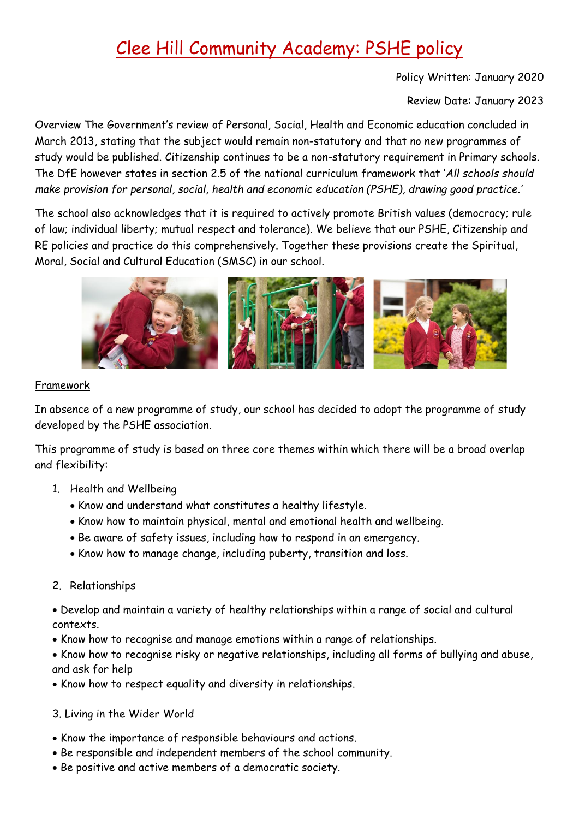# Clee Hill Community Academy: PSHE policy

Policy Written: January 2020

Review Date: January 2023

Overview The Government's review of Personal, Social, Health and Economic education concluded in March 2013, stating that the subject would remain non-statutory and that no new programmes of study would be published. Citizenship continues to be a non-statutory requirement in Primary schools. The DfE however states in section 2.5 of the national curriculum framework that '*All schools should make provision for personal, social, health and economic education (PSHE), drawing good practice.'*

The school also acknowledges that it is required to actively promote British values (democracy; rule of law; individual liberty; mutual respect and tolerance). We believe that our PSHE, Citizenship and RE policies and practice do this comprehensively. Together these provisions create the Spiritual, Moral, Social and Cultural Education (SMSC) in our school.



#### Framework

In absence of a new programme of study, our school has decided to adopt the programme of study developed by the PSHE association.

This programme of study is based on three core themes within which there will be a broad overlap and flexibility:

- 1. Health and Wellbeing
	- Know and understand what constitutes a healthy lifestyle.
	- Know how to maintain physical, mental and emotional health and wellbeing.
	- Be aware of safety issues, including how to respond in an emergency.
	- Know how to manage change, including puberty, transition and loss.
- 2. Relationships

• Develop and maintain a variety of healthy relationships within a range of social and cultural contexts.

- Know how to recognise and manage emotions within a range of relationships.
- Know how to recognise risky or negative relationships, including all forms of bullying and abuse, and ask for help
- Know how to respect equality and diversity in relationships.
- 3. Living in the Wider World
- Know the importance of responsible behaviours and actions.
- Be responsible and independent members of the school community.
- Be positive and active members of a democratic society.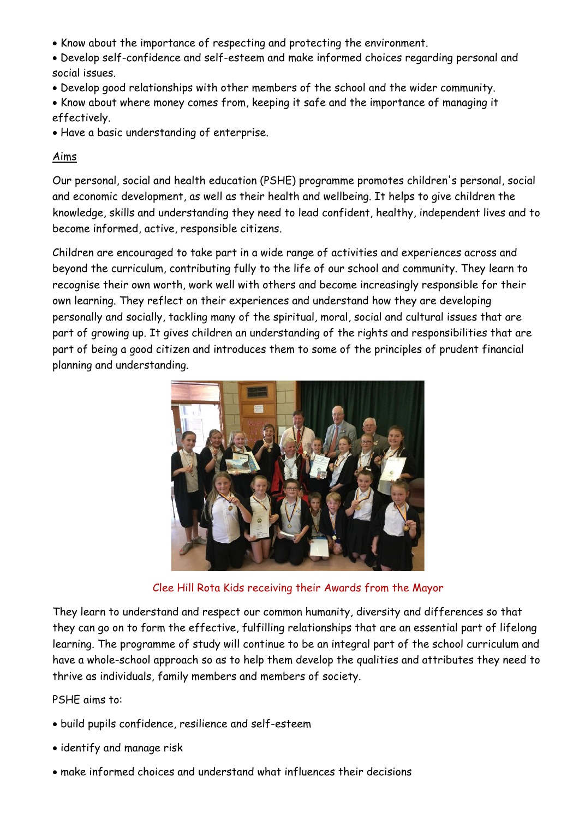- Know about the importance of respecting and protecting the environment.
- Develop self-confidence and self-esteem and make informed choices regarding personal and social issues.
- Develop good relationships with other members of the school and the wider community.
- Know about where money comes from, keeping it safe and the importance of managing it effectively.
- Have a basic understanding of enterprise.

#### Aims

Our personal, social and health education (PSHE) programme promotes children's personal, social and economic development, as well as their health and wellbeing. It helps to give children the knowledge, skills and understanding they need to lead confident, healthy, independent lives and to become informed, active, responsible citizens.

Children are encouraged to take part in a wide range of activities and experiences across and beyond the curriculum, contributing fully to the life of our school and community. They learn to recognise their own worth, work well with others and become increasingly responsible for their own learning. They reflect on their experiences and understand how they are developing personally and socially, tackling many of the spiritual, moral, social and cultural issues that are part of growing up. It gives children an understanding of the rights and responsibilities that are part of being a good citizen and introduces them to some of the principles of prudent financial planning and understanding.



Clee Hill Rota Kids receiving their Awards from the Mayor

They learn to understand and respect our common humanity, diversity and differences so that they can go on to form the effective, fulfilling relationships that are an essential part of lifelong learning. The programme of study will continue to be an integral part of the school curriculum and have a whole-school approach so as to help them develop the qualities and attributes they need to thrive as individuals, family members and members of society.

PSHE aims to:

- build pupils confidence, resilience and self-esteem
- identify and manage risk
- make informed choices and understand what influences their decisions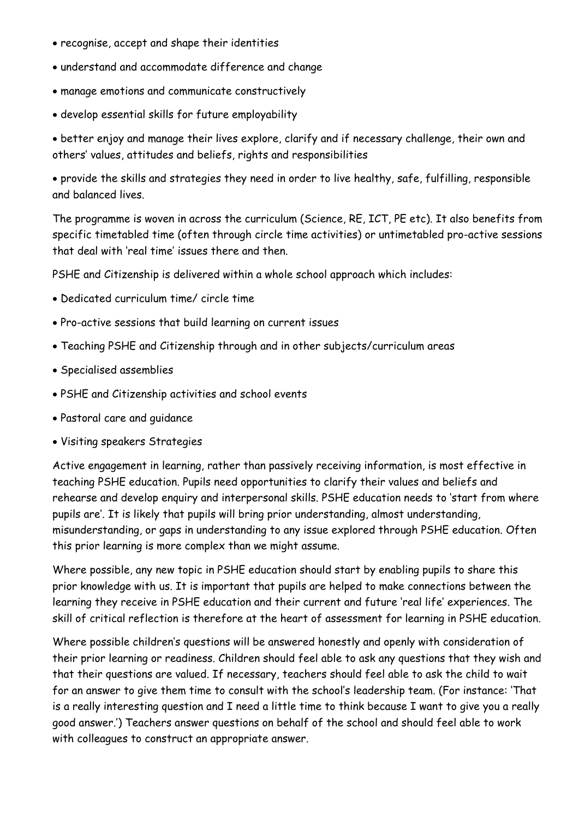- recognise, accept and shape their identities
- understand and accommodate difference and change
- manage emotions and communicate constructively
- develop essential skills for future employability

• better enjoy and manage their lives explore, clarify and if necessary challenge, their own and others' values, attitudes and beliefs, rights and responsibilities

• provide the skills and strategies they need in order to live healthy, safe, fulfilling, responsible and balanced lives.

The programme is woven in across the curriculum (Science, RE, ICT, PE etc). It also benefits from specific timetabled time (often through circle time activities) or untimetabled pro-active sessions that deal with 'real time' issues there and then.

PSHE and Citizenship is delivered within a whole school approach which includes:

- Dedicated curriculum time/ circle time
- Pro-active sessions that build learning on current issues
- Teaching PSHE and Citizenship through and in other subjects/curriculum areas
- Specialised assemblies
- PSHE and Citizenship activities and school events
- Pastoral care and guidance
- Visiting speakers Strategies

Active engagement in learning, rather than passively receiving information, is most effective in teaching PSHE education. Pupils need opportunities to clarify their values and beliefs and rehearse and develop enquiry and interpersonal skills. PSHE education needs to 'start from where pupils are'. It is likely that pupils will bring prior understanding, almost understanding, misunderstanding, or gaps in understanding to any issue explored through PSHE education. Often this prior learning is more complex than we might assume.

Where possible, any new topic in PSHE education should start by enabling pupils to share this prior knowledge with us. It is important that pupils are helped to make connections between the learning they receive in PSHE education and their current and future 'real life' experiences. The skill of critical reflection is therefore at the heart of assessment for learning in PSHE education.

Where possible children's questions will be answered honestly and openly with consideration of their prior learning or readiness. Children should feel able to ask any questions that they wish and that their questions are valued. If necessary, teachers should feel able to ask the child to wait for an answer to give them time to consult with the school's leadership team. (For instance: 'That is a really interesting question and I need a little time to think because I want to give you a really good answer.') Teachers answer questions on behalf of the school and should feel able to work with colleagues to construct an appropriate answer.